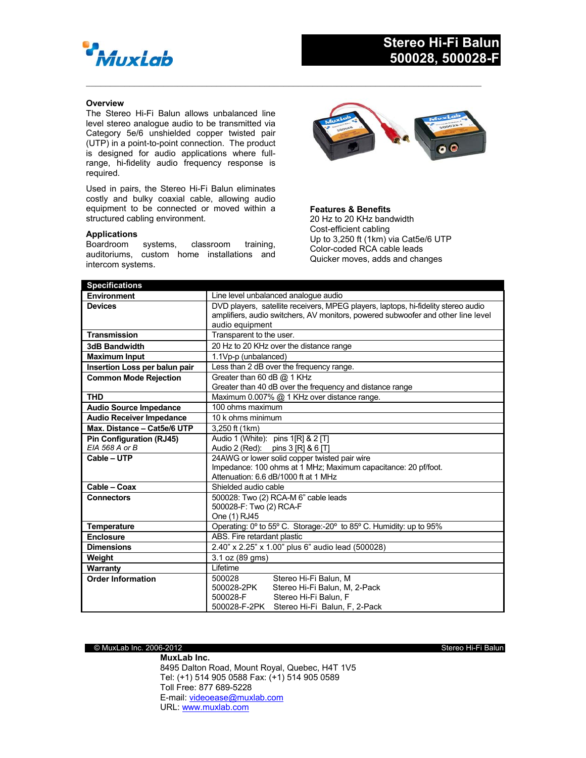

## **Overview**

The Stereo Hi-Fi Balun allows unbalanced line level stereo analogue audio to be transmitted via Category 5e/6 unshielded copper twisted pair (UTP) in a point-to-point connection. The product is designed for audio applications where fullrange, hi-fidelity audio frequency response is required.

Used in pairs, the Stereo Hi-Fi Balun eliminates costly and bulky coaxial cable, allowing audio equipment to be connected or moved within a structured cabling environment.

## **Applications**

Boardroom systems, classroom training, auditoriums, custom home installations and intercom systems.



**Features & Benefits** 20 Hz to 20 KHz bandwidth Cost-efficient cabling Up to 3,250 ft (1km) via Cat5e/6 UTP Color-coded RCA cable leads Quicker moves, adds and changes

| <b>Specifications</b>           |                                                                                   |
|---------------------------------|-----------------------------------------------------------------------------------|
| Environment                     | Line level unbalanced analogue audio                                              |
| <b>Devices</b>                  | DVD players, satellite receivers, MPEG players, laptops, hi-fidelity stereo audio |
|                                 | amplifiers, audio switchers, AV monitors, powered subwoofer and other line level  |
|                                 | audio equipment                                                                   |
| <b>Transmission</b>             | Transparent to the user.                                                          |
| <b>3dB Bandwidth</b>            | 20 Hz to 20 KHz over the distance range                                           |
| <b>Maximum Input</b>            | 1.1Vp-p (unbalanced)                                                              |
| Insertion Loss per balun pair   | Less than 2 dB over the frequency range.                                          |
| <b>Common Mode Rejection</b>    | Greater than 60 dB @ 1 KHz                                                        |
|                                 | Greater than 40 dB over the frequency and distance range                          |
| <b>THD</b>                      | Maximum 0.007% @ 1 KHz over distance range.                                       |
| <b>Audio Source Impedance</b>   | 100 ohms maximum                                                                  |
| <b>Audio Receiver Impedance</b> | 10 k ohms minimum                                                                 |
| Max. Distance - Cat5e/6 UTP     | 3,250 ft (1km)                                                                    |
| Pin Configuration (RJ45)        | Audio 1 (White): pins 1[R] & 2 [T]                                                |
| EIA 568 A or B                  | Audio 2 (Red): pins 3 [R] $& 6$ [T]                                               |
| Cable - UTP                     | 24AWG or lower solid copper twisted pair wire                                     |
|                                 | Impedance: 100 ohms at 1 MHz; Maximum capacitance: 20 pf/foot.                    |
|                                 | Attenuation: 6.6 dB/1000 ft at 1 MHz                                              |
| Cable - Coax                    | Shielded audio cable                                                              |
| <b>Connectors</b>               | 500028: Two (2) RCA-M 6" cable leads                                              |
|                                 | 500028-F: Two (2) RCA-F                                                           |
|                                 | One (1) RJ45                                                                      |
| <b>Temperature</b>              | Operating: 0° to 55° C. Storage:-20° to 85° C. Humidity: up to 95%                |
| <b>Enclosure</b>                | ABS. Fire retardant plastic                                                       |
| <b>Dimensions</b>               | 2.40" x 2.25" x 1.00" plus 6" audio lead (500028)                                 |
| Weight                          | 3.1 oz (89 gms)                                                                   |
| Warranty                        | Lifetime                                                                          |
| <b>Order Information</b>        | Stereo Hi-Fi Balun, M<br>500028                                                   |
|                                 | 500028-2PK<br>Stereo Hi-Fi Balun, M, 2-Pack                                       |
|                                 | 500028-F<br>Stereo Hi-Fi Balun. F                                                 |
|                                 | 500028-F-2PK Stereo Hi-Fi Balun, F, 2-Pack                                        |

 $\mathcal{L}_\mathcal{L} = \{ \mathcal{L}_\mathcal{L} = \{ \mathcal{L}_\mathcal{L} = \{ \mathcal{L}_\mathcal{L} = \{ \mathcal{L}_\mathcal{L} = \{ \mathcal{L}_\mathcal{L} = \{ \mathcal{L}_\mathcal{L} = \{ \mathcal{L}_\mathcal{L} = \{ \mathcal{L}_\mathcal{L} = \{ \mathcal{L}_\mathcal{L} = \{ \mathcal{L}_\mathcal{L} = \{ \mathcal{L}_\mathcal{L} = \{ \mathcal{L}_\mathcal{L} = \{ \mathcal{L}_\mathcal{L} = \{ \mathcal{L}_\mathcal{$ 

## © MuxLab Inc. 2006-2012 Stereo Hi-Fi Balun

**MuxLab Inc.** 8495 Dalton Road, Mount Royal, Quebec, H4T 1V5 Tel: (+1) 514 905 0588 Fax: (+1) 514 905 0589 Toll Free: 877 689-5228 E-mail: videoease@muxlab.com URL: www.muxlab.com